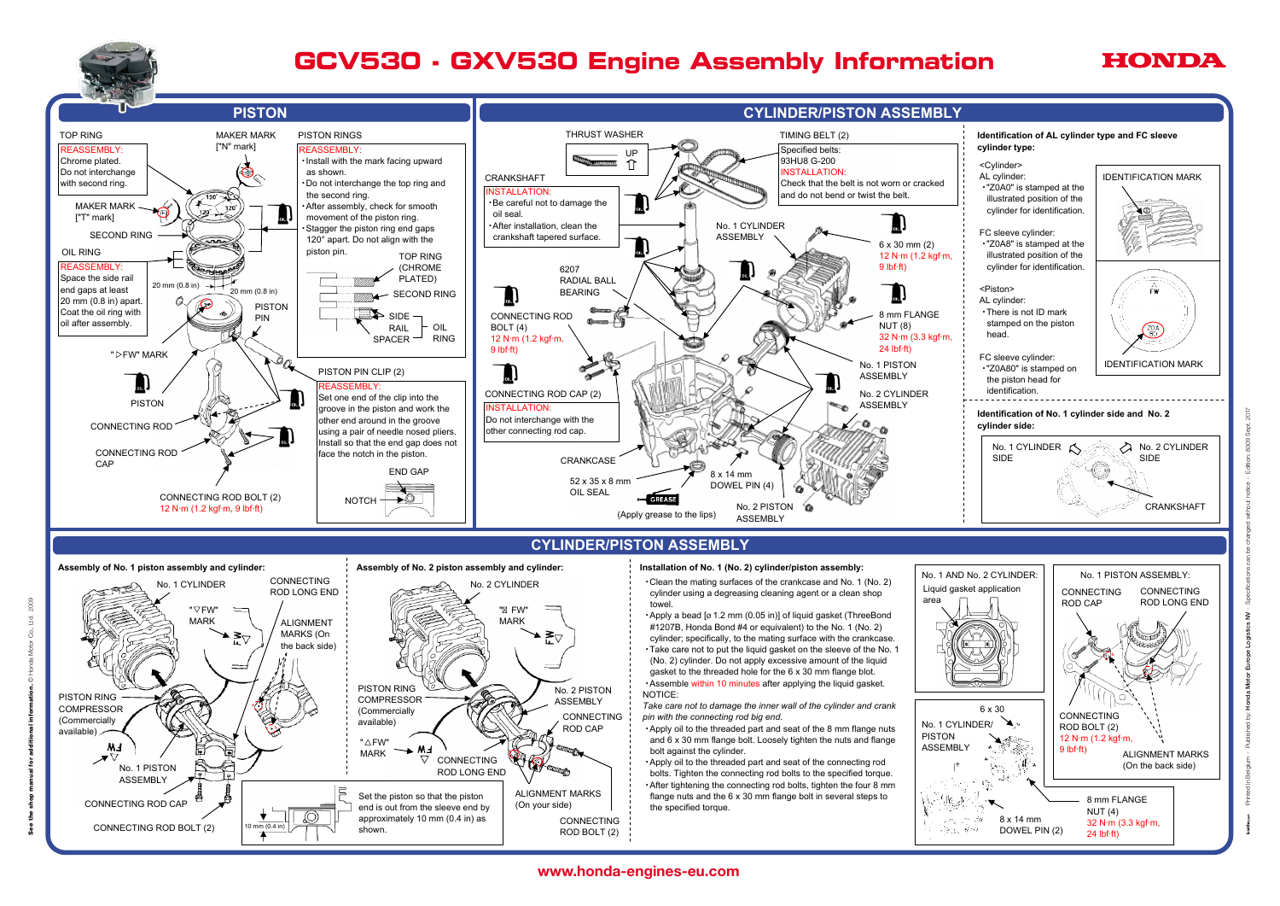

# **CYLINDER/PISTON ASSEMBLY**



### **Assembly of No. 1 piston assembly and cylinder: Assembly of No. 2 piston assembly and cylinder:** CONNECTING No. 2 CYLINDER No. 1 CYLINDER ROD LONG END towel. "  $\nabla$  FW" " FW" MARK MARK ALIGNMENT MARKS (On क्≚∆ the back side) PISTON RING No. 2 PISTON NOTICE: PISTON RING **COMPRESSOR** ASSEMBLY **COMPRESSOR** (Commercially CONNECTING (Commercially available) ROD CAP available)  $\angle$  $" \triangle$ FW" ₩₹ F  $\overline{M}$ MARK ↗▽ ▽  $\mathbb{R}$ CONNECTING No. 1 PISTON ROD LONG END ASSEMBLY ALIGNMENT MARKS Set the piston so that the piston CONNECTING ROD CAP (On your side) end is out from the sleeve end by O) approximately 10 mm (0.4 in) as CONNECTING 0 mm (0.4 in) CONNECTING ROD BOLT (2) shown. ROD BOLT (2)

# www.honda-engines-eu.com entry manual for additional for additional for additional information. Only the shop manual for additional for additional information. Only the shop manual for addition. Only the shop manual for a





# *GCV530* ・*GXV530 Engine Assembly Information* **GCV530 - GXV530 Engine Assembly Information**

## **Installation of No. 1 (No. 2) cylinder/piston assembly:**

・ Clean the mating surfaces of the crankcase and No. 1 (No. 2) cylinder using a degreasing cleaning agent or a clean shop

• Apply a bead [ø 1.2 mm (0.05 in)] of liquid gasket (ThreeBond #1207B, Honda Bond #4 or equivalent) to the No. 1 (No. 2) cylinder; specifically, to the mating surface with the crankcase. ・ Take care not to put the liquid gasket on the sleeve of the No. 1 (No. 2) cylinder. Do not apply excessive amount of the liquid gasket to the threaded hole for the 6 x 30 mm flange blot. Assemble within 10 minutes after applying the liquid gasket.

*Take care not to damage the inner wall of the cylinder and crank pin with the connecting rod big end.*

・ Apply oil to the threaded part and seat of the 8 mm flange nuts and 6 x 30 mm flange bolt. Loosely tighten the nuts and flange bolt against the cylinder.

・ Apply oil to the threaded part and seat of the connecting rod bolts. Tighten the connecting rod bolts to the specified torque. ・ After tightening the connecting rod bolts, tighten the four 8 mm flange nuts and the 6 x 30 mm flange bolt in several steps to the specified torque.

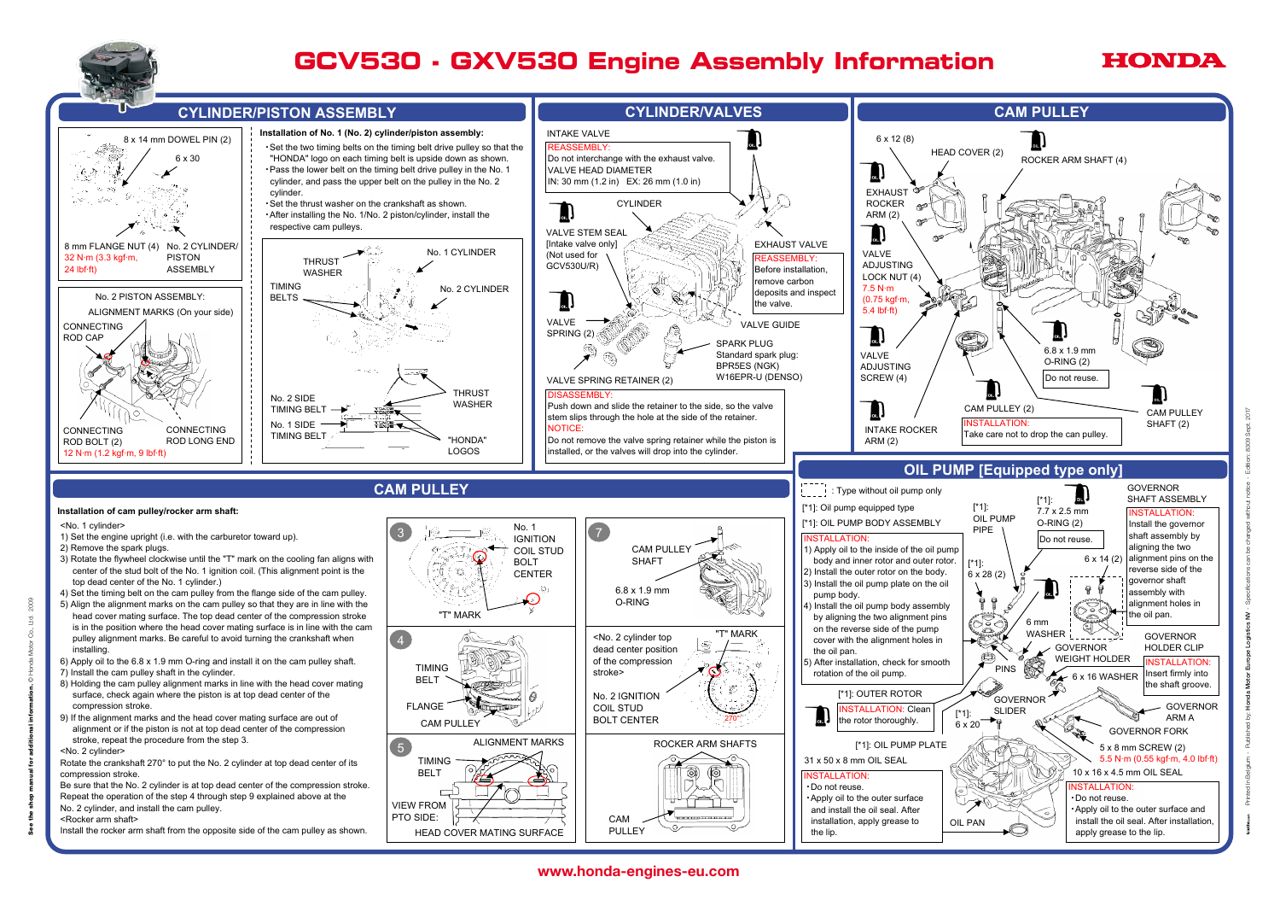





- 
- 
- 
- 
- 
- 
- 
- 
- 
- 
- 



Printed In Belgium - Published by: Honda Motor Europe Logistics NV - Specifications can be changed without notice - Edition: 8309 Sept. 2017